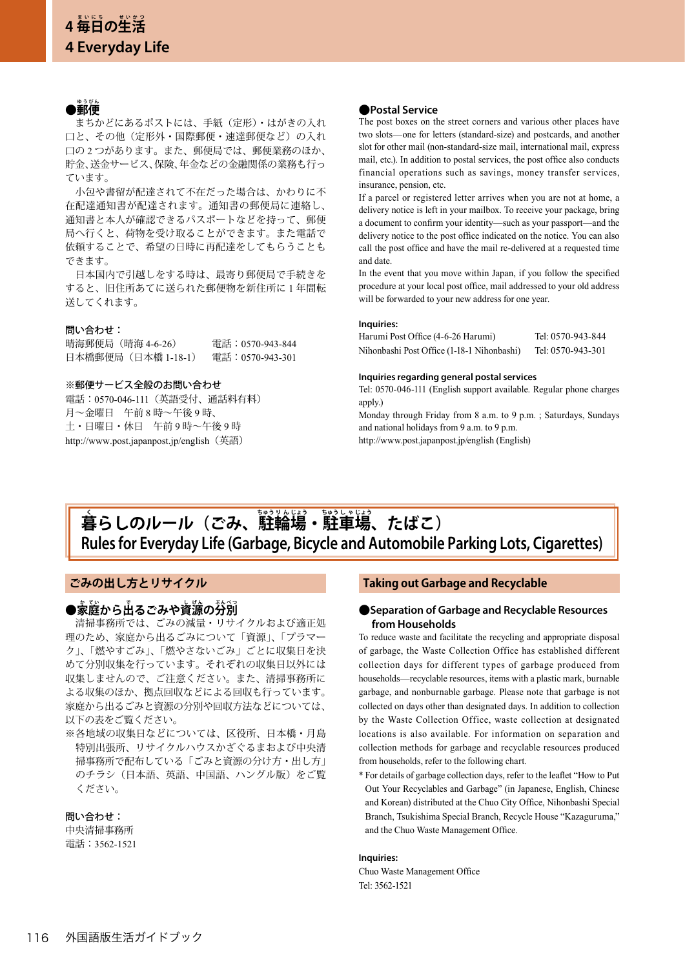# ●郵便

 まちかどにあるポストには、手紙(定形)・はがきの入れ 口と、その他(定形外・国際郵便・速達郵便など)の入れ 口の 2 つがあります。また、郵便局では、郵便業務のほか、 貯金、送金サービス、保険、年金などの金融関係の業務も行っ ています。

 小包や書留が配達されて不在だった場合は、かわりに不 在配達通知書が配達されます。通知書の郵便局に連絡し、 通知書と本人が確認できるパスポートなどを持って、郵便 局へ行くと、荷物を受け取ることができます。また電話で 依頼することで、希望の日時に再配達をしてもらうことも できます。

 日本国内で引越しをする時は、最寄り郵便局で手続きを すると、旧住所あてに送られた郵便物を新住所に 1 年間転 送してくれます。

### 問い合わせ:

晴海郵便局(晴海 4-6-26) 電話:0570-943-844 日本橋郵便局(日本橋 1-18-1) 電話:0570-943-301

### ※郵便サービス全般のお問い合わせ

電話:0570-046-111(英語受付、通話料有料) 月~金曜日 午前 8 時~午後 9 時、 土・日曜日・休日 午前 9 時~午後 9 時 http://www.post.japanpost.jp/english (英語)

## **●Postal Service**

The post boxes on the street corners and various other places have two slots—one for letters (standard-size) and postcards, and another slot for other mail (non-standard-size mail, international mail, express mail, etc.). In addition to postal services, the post office also conducts financial operations such as savings, money transfer services, insurance, pension, etc.

If a parcel or registered letter arrives when you are not at home, a delivery notice is left in your mailbox. To receive your package, bring a document to confirm your identity—such as your passport—and the delivery notice to the post office indicated on the notice. You can also call the post office and have the mail re-delivered at a requested time and date.

In the event that you move within Japan, if you follow the specified procedure at your local post office, mail addressed to your old address will be forwarded to your new address for one year.

#### **Inquiries:**

| Harumi Post Office (4-6-26 Harumi)         | Tel: 0570-943-844 |
|--------------------------------------------|-------------------|
| Nihonbashi Post Office (1-18-1 Nihonbashi) | Tel: 0570-943-301 |

#### **Inquiries regarding general postal services**

Tel: 0570-046-111 (English support available. Regular phone charges apply.)

Monday through Friday from 8 a.m. to 9 p.m. ; Saturdays, Sundays and national holidays from 9 a.m. to 9 p.m. http://www.post.japanpost.jp/english (English)

# **Rules for Everyday Life (Garbage, Bicycle and Automobile Parking Lots, Cigarettes)**  $\hat{\mathbf{A}}$ らしのルール(ごみ、駐輪場・駐車場、たばこ)

# **ごみの出し方とリサイクル**

# ●家庭から出るごみや資源の分別

 清掃事務所では、ごみの減量・リサイクルおよび適正処 理のため、家庭から出るごみについて「資源」、「プラマー ク」、「燃やすごみ」、「燃やさないごみ」ごとに収集日を決 めて分別収集を行っています。それぞれの収集日以外には 収集しませんので、ご注意ください。また、清掃事務所に よる収集のほか、拠点回収などによる回収も行っています。 家庭から出るごみと資源の分別や回収方法などについては、 以下の表をご覧ください。

※各地域の収集日などについては、区役所、日本橋・月島 特別出張所、リサイクルハウスかざぐるまおよび中央清 掃事務所で配布している「ごみと資源の分け方・出し方」 のチラシ(日本語、英語、中国語、ハングル版)をご覧 ください。

#### 問い合わせ:

中央清掃事務所 電話:3562-1521

# **Taking out Garbage and Recyclable**

## **●Separation of Garbage and Recyclable Resources from Households**

To reduce waste and facilitate the recycling and appropriate disposal of garbage, the Waste Collection Office has established different collection days for different types of garbage produced from households—recyclable resources, items with a plastic mark, burnable garbage, and nonburnable garbage. Please note that garbage is not collected on days other than designated days. In addition to collection by the Waste Collection Office, waste collection at designated locations is also available. For information on separation and collection methods for garbage and recyclable resources produced from households, refer to the following chart.

\* For details of garbage collection days, refer to the leaflet "How to Put Out Your Recyclables and Garbage" (in Japanese, English, Chinese and Korean) distributed at the Chuo City Office, Nihonbashi Special Branch, Tsukishima Special Branch, Recycle House "Kazaguruma," and the Chuo Waste Management Office.

#### **Inquiries:**

Chuo Waste Management Office Tel: 3562-1521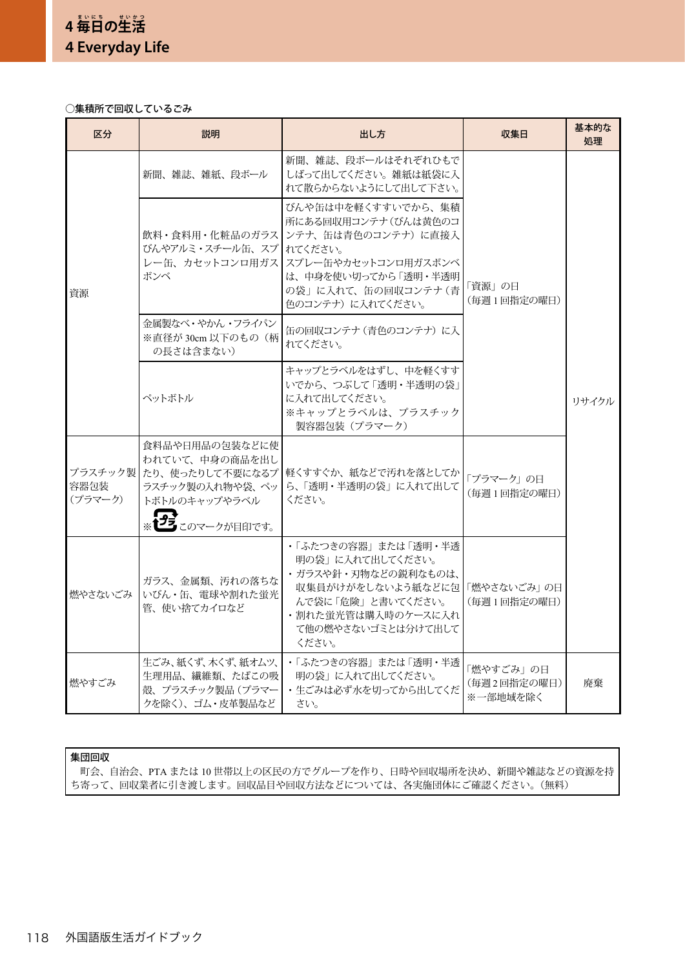# ○集積所で回収しているごみ

| 区分              | 説明                                                                                                                         | 出し方                                                                                                                                                                          | 収集日                                  | 基本的な<br>処理 |
|-----------------|----------------------------------------------------------------------------------------------------------------------------|------------------------------------------------------------------------------------------------------------------------------------------------------------------------------|--------------------------------------|------------|
| 資源              | 新聞、雑誌、雑紙、段ボール                                                                                                              | 新聞、雑誌、段ボールはそれぞれひもで<br>しばって出してください。雑紙は紙袋に入<br>れて散らからないようにして出して下さい。                                                                                                            |                                      | リサイクル      |
|                 | 飲料・食料用・化粧品のガラス<br>びんやアルミ・スチール缶、 スプ<br>レー缶、カセットコンロ用ガス<br>ボンベ                                                                | びんや缶は中を軽くすすいでから、集積<br>所にある回収用コンテナ(びんは黄色のコ<br>ンテナ、缶は青色のコンテナ)に直接入<br>れてください。<br>スプレー缶やカセットコンロ用ガスボンベ<br>は、中身を使い切ってから「透明・半透明<br>の袋」に入れて、缶の回収コンテナ(青<br>色のコンテナ)に入れてください。           | 「資源」の日<br>(毎週1回指定の曜日)                |            |
|                 | 金属製なべ・やかん・フライパン<br>※直径が 30cm 以下のもの(柄<br>の長さは含まない)                                                                          | 缶の回収コンテナ (青色のコンテナ) に入<br>れてください。                                                                                                                                             |                                      |            |
|                 | ペットボトル                                                                                                                     | キャップとラベルをはずし、中を軽くすす<br>いでから、つぶして「透明・半透明の袋」<br>に入れて出してください。<br>※キャップとラベルは、プラスチック<br>製容器包装(プラマーク)                                                                              |                                      |            |
| 容器包装<br>(プラマーク) | 食料品や日用品の包装などに使<br>われていて、中身の商品を出し<br>プラスチック製 たり、使ったりして不要になるプ<br>ラスチック製の入れ物や袋、 ペッ<br>トボトルのキャップやラベル<br><b> フラ</b> このマークが目印です。 | 軽くすすぐか、紙などで汚れを落としてか<br>ら、「透明・半透明の袋」 に入れて出して<br>ください。                                                                                                                         | 「プラマーク」の日<br>(毎週1回指定の曜日)             |            |
| 燃やさないごみ         | ガラス、金属類、汚れの落ちな<br> いびん・缶、電球や割れた蛍光<br>管、使い捨てカイロなど                                                                           | •「ふたつきの容器」または「透明・半透<br>明の袋」に入れて出してください。<br>・ガラスや針・刃物などの鋭利なものは、<br>収集員がけがをしないよう紙などに包   「燃やさないごみ」 の日<br>んで袋に「危険」と書いてください。<br>・割れた蛍光管は購入時のケースに入れ<br>て他の燃やさないゴミとは分けて出して<br>ください。 | (毎週1回指定の曜日)                          |            |
| 燃やすごみ           | 生ごみ、紙くず、木くず、紙オムツ、<br>生理用品、繊維類、たばこの吸<br>殻、プラスチック製品(プラマー<br>クを除く)、ゴム・皮革製品など                                                  | ・「ふたつきの容器」 または 「透明・半透<br>明の袋」に入れて出してください。<br>・生ごみは必ず水を切ってから出してくだ<br>さい。                                                                                                      | 「燃やすごみ」の日<br>(毎週2回指定の曜日)<br>※一部地域を除く | 廃棄         |

# 集団回収

 町会、自治会、PTA または 10 世帯以上の区民の方でグループを作り、日時や回収場所を決め、新聞や雑誌などの資源を持 ち寄って、回収業者に引き渡します。回収品目や回収方法などについては、各実施団体にご確認ください。(無料)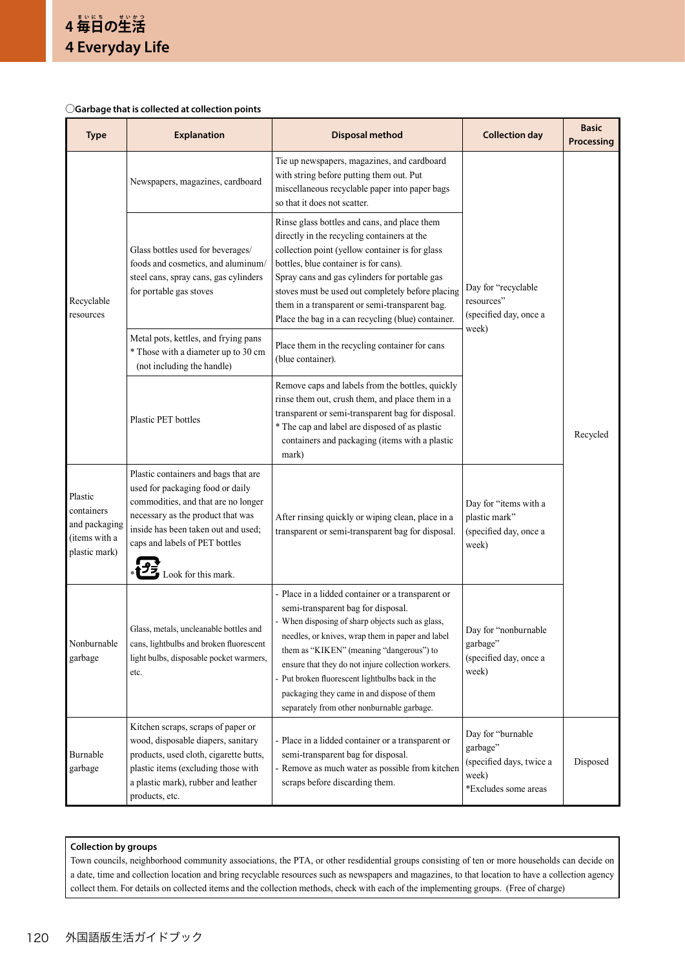# ○**Garbage that is collected at collection points**

| <b>Type</b>                                                              | <b>Explanation</b>                                                                                                                                                                                                                                   | <b>Disposal method</b>                                                                                                                                                                                                                                                                                                                                                                                                                           | <b>Collection day</b>                                                                      | <b>Basic</b><br>Processing |  |
|--------------------------------------------------------------------------|------------------------------------------------------------------------------------------------------------------------------------------------------------------------------------------------------------------------------------------------------|--------------------------------------------------------------------------------------------------------------------------------------------------------------------------------------------------------------------------------------------------------------------------------------------------------------------------------------------------------------------------------------------------------------------------------------------------|--------------------------------------------------------------------------------------------|----------------------------|--|
| Recyclable<br>resources                                                  | Newspapers, magazines, cardboard                                                                                                                                                                                                                     | Tie up newspapers, magazines, and cardboard<br>with string before putting them out. Put<br>miscellaneous recyclable paper into paper bags<br>so that it does not scatter.                                                                                                                                                                                                                                                                        |                                                                                            | Recycled                   |  |
|                                                                          | Glass bottles used for beverages/<br>foods and cosmetics, and aluminum/<br>steel cans, spray cans, gas cylinders<br>for portable gas stoves                                                                                                          | Rinse glass bottles and cans, and place them<br>directly in the recycling containers at the<br>collection point (yellow container is for glass<br>bottles, blue container is for cans).<br>Spray cans and gas cylinders for portable gas<br>stoves must be used out completely before placing<br>them in a transparent or semi-transparent bag.<br>Place the bag in a can recycling (blue) container.                                            | Day for "recyclable<br>resources"<br>(specified day, once a<br>week)                       |                            |  |
|                                                                          | Metal pots, kettles, and frying pans<br>* Those with a diameter up to 30 cm<br>(not including the handle)                                                                                                                                            | Place them in the recycling container for cans<br>(blue container).                                                                                                                                                                                                                                                                                                                                                                              |                                                                                            |                            |  |
|                                                                          | Plastic PET bottles                                                                                                                                                                                                                                  | Remove caps and labels from the bottles, quickly<br>rinse them out, crush them, and place them in a<br>transparent or semi-transparent bag for disposal.<br>* The cap and label are disposed of as plastic<br>containers and packaging (items with a plastic<br>mark)                                                                                                                                                                            |                                                                                            |                            |  |
| Plastic<br>containers<br>and packaging<br>(items with a<br>plastic mark) | Plastic containers and bags that are<br>used for packaging food or daily<br>commodities, and that are no longer<br>necessary as the product that was<br>inside has been taken out and used;<br>caps and labels of PET bottles<br>Look for this mark. | After rinsing quickly or wiping clean, place in a<br>transparent or semi-transparent bag for disposal.                                                                                                                                                                                                                                                                                                                                           | Day for "items with a<br>plastic mark"<br>(specified day, once a<br>week)                  |                            |  |
| Nonburnable<br>garbage                                                   | Glass, metals, uncleanable bottles and<br>cans, lightbulbs and broken fluorescent<br>light bulbs, disposable pocket warmers,<br>etc.                                                                                                                 | - Place in a lidded container or a transparent or<br>semi-transparent bag for disposal.<br>- When disposing of sharp objects such as glass,<br>needles, or knives, wrap them in paper and label<br>them as "KIKEN" (meaning "dangerous") to<br>ensure that they do not injure collection workers.<br>- Put broken fluorescent lightbulbs back in the<br>packaging they came in and dispose of them<br>separately from other nonburnable garbage. | Day for "nonburnable<br>garbage"<br>(specified day, once a<br>week)                        |                            |  |
| Burnable<br>garbage                                                      | Kitchen scraps, scraps of paper or<br>wood, disposable diapers, sanitary<br>products, used cloth, cigarette butts,<br>plastic items (excluding those with<br>a plastic mark), rubber and leather<br>products, etc.                                   | - Place in a lidded container or a transparent or<br>semi-transparent bag for disposal.<br>- Remove as much water as possible from kitchen<br>scraps before discarding them.                                                                                                                                                                                                                                                                     | Day for "burnable<br>garbage"<br>(specified days, twice a<br>week)<br>*Excludes some areas | Disposed                   |  |

# **Collection by groups**

Town councils, neighborhood community associations, the PTA, or other resdidential groups consisting of ten or more households can decide on a date, time and collection location and bring recyclable resources such as newspapers and magazines, to that location to have a collection agency collect them. For details on collected items and the collection methods, check with each of the implementing groups. (Free of charge)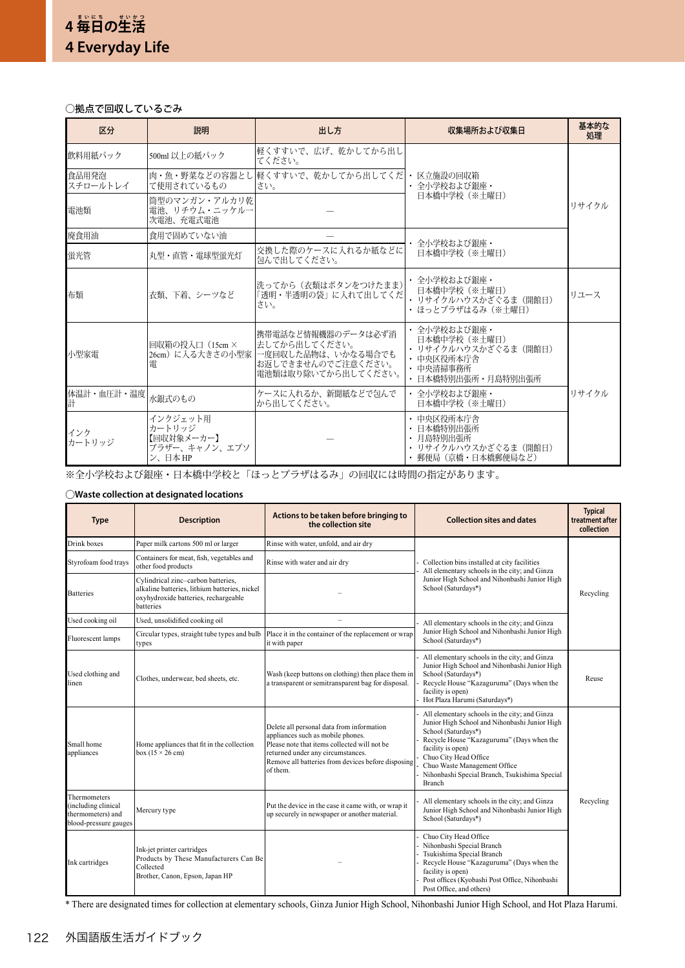# ○拠点で回収しているごみ

| 区分                     | 説明                                                          | 出し方                                                                                                     | 収集場所および収集日                                                                                            | 基本的な<br>処理 |
|------------------------|-------------------------------------------------------------|---------------------------------------------------------------------------------------------------------|-------------------------------------------------------------------------------------------------------|------------|
| 飲料用紙パック                | 500ml 以上の紙パック                                               | 軽くすすいで、広げ、乾かしてから出し<br>てください。                                                                            |                                                                                                       |            |
| 食品用発泡<br>スチロールトレイ      | て使用されているもの                                                  | 肉・魚・野菜などの容器とし  軽くすすいで、乾かしてから出してくだ  ・ 区立施設の回収箱<br>さい。                                                    | • 全小学校および銀座・                                                                                          | リサイクル      |
| 雷池類                    | 筒型のマンガン・アルカリ乾<br>電池、リチウム・ニッケルー<br>次雷池、充雷式雷池                 |                                                                                                         | 日本橋中学校 (※土曜日)                                                                                         |            |
| 廃食用油                   | 食用で固めていない油                                                  |                                                                                                         | ・ 全小学校および銀座・                                                                                          |            |
| 蛍光管                    | 丸型・直管・雷球型蛍光灯                                                | 交換した際のケースに入れるか紙などに<br>包んで出してください。                                                                       | 日本橋中学校 (※土曜日)                                                                                         |            |
| 布類                     | 衣類、下着、シーツなど                                                 | 洗ってから (衣類はボタンをつけたまま)<br>「透明・半透明の袋」に入れて出してくだ<br>さい。                                                      | ・ 全小学校および銀座・<br>日本橋中学校 (※土曜日)<br>• リサイクルハウスかざぐるま (開館日)<br>・ ほっとプラザはるみ(※十曜日)                           | リユース       |
| 小型家雷                   | 回収箱の投入口 (15cm ×<br>26cm) に入る大きさの小型家 <br>電                   | 携帯電話など情報機器のデータは必ず消<br> 去してから出してください。<br>一度回収した品物は、いかなる場合でも<br>お返しできませんのでご注意ください。<br>電池類は取り除いてから出してください。 | ・ 全小学校および銀座・<br>日本橋中学校 (※土曜日)<br>・ リサイクルハウスかざぐるま (開館日)<br>• 中央区役所本庁舎<br>・ 中央清掃事務所<br>日本橋特別出張所・月島特別出張所 |            |
| 体温計・血圧計・温度 水銀式のもの<br>計 |                                                             | ケースに入れるか、新聞紙などで包んで<br>から出してください。                                                                        | ・ 全小学校および銀座・<br>日本橋中学校 (※土曜日)                                                                         | リサイクル      |
| インク<br>カートリッジ          | インクジェット用<br>カートリッジ<br>【回収対象メーカー】<br>ブラザー、キャノン、エプソ<br>ン、日本HP |                                                                                                         | • 中央区役所本庁舎<br>・ 日本橋特別出張所<br>• 月島特別出張所<br>・ リサイクルハウスかざぐるま (開館日)<br>・ 郵便局(京橋・日本橋郵便局など)                  |            |

※全小学校および銀座・日本橋中学校と「ほっとプラザはるみ」の回収には時間の指定があります。

# ○**Waste collection at designated locations**

| <b>Type</b>                                                                       | <b>Description</b>                                                                                                                       | Actions to be taken before bringing to<br>the collection site                                                                                                                                                                         | <b>Collection sites and dates</b>                                                                                                                                                                                                                                                                           | <b>Typical</b><br>treatment after<br>collection |
|-----------------------------------------------------------------------------------|------------------------------------------------------------------------------------------------------------------------------------------|---------------------------------------------------------------------------------------------------------------------------------------------------------------------------------------------------------------------------------------|-------------------------------------------------------------------------------------------------------------------------------------------------------------------------------------------------------------------------------------------------------------------------------------------------------------|-------------------------------------------------|
| Drink boxes                                                                       | Paper milk cartons 500 ml or larger                                                                                                      | Rinse with water, unfold, and air dry                                                                                                                                                                                                 |                                                                                                                                                                                                                                                                                                             |                                                 |
| Styrofoam food trays                                                              | Containers for meat, fish, vegetables and<br>other food products                                                                         | Rinse with water and air dry                                                                                                                                                                                                          | Collection bins installed at city facilities<br>All elementary schools in the city; and Ginza<br>Junior High School and Nihonbashi Junior High<br>School (Saturdays*)                                                                                                                                       |                                                 |
| <b>Batteries</b>                                                                  | Cylindrical zinc-carbon batteries,<br>alkaline batteries, lithium batteries, nickel<br>oxyhydroxide batteries, rechargeable<br>batteries |                                                                                                                                                                                                                                       |                                                                                                                                                                                                                                                                                                             | Recycling                                       |
| Used cooking oil                                                                  | Used, unsolidified cooking oil                                                                                                           | $\overline{\phantom{0}}$                                                                                                                                                                                                              | All elementary schools in the city; and Ginza                                                                                                                                                                                                                                                               |                                                 |
| Fluorescent lamps                                                                 | Circular types, straight tube types and bulb<br>types                                                                                    | Place it in the container of the replacement or wrap<br>it with paper                                                                                                                                                                 | Junior High School and Nihonbashi Junior High<br>School (Saturdays*)                                                                                                                                                                                                                                        |                                                 |
| Used clothing and<br>linen                                                        | Clothes, underwear, bed sheets, etc.                                                                                                     | Wash (keep buttons on clothing) then place them in<br>a transparent or semitransparent bag for disposal.                                                                                                                              | All elementary schools in the city; and Ginza<br>Junior High School and Nihonbashi Junior High<br>School (Saturdays*)<br>Recycle House "Kazaguruma" (Days when the<br>facility is open)<br>Hot Plaza Harumi (Saturdays*)                                                                                    | Reuse                                           |
| Small home<br>appliances                                                          | Home appliances that fit in the collection<br>box $(15 \times 26$ cm)                                                                    | Delete all personal data from information<br>appliances such as mobile phones.<br>Please note that items collected will not be<br>returned under any circumstances.<br>Remove all batteries from devices before disposing<br>of them. | All elementary schools in the city; and Ginza<br>Junior High School and Nihonbashi Junior High<br>School (Saturdays*)<br>Recycle House "Kazaguruma" (Days when the<br>facility is open)<br>Chuo City Head Office<br>Chuo Waste Management Office<br>Nihonbashi Special Branch, Tsukishima Special<br>Branch |                                                 |
| Thermometers<br>(including clinical<br>thermometers) and<br>blood-pressure gauges | Mercury type                                                                                                                             | Put the device in the case it came with, or wrap it<br>up securely in newspaper or another material.                                                                                                                                  | All elementary schools in the city; and Ginza<br>Junior High School and Nihonbashi Junior High<br>School (Saturdays*)                                                                                                                                                                                       | Recycling                                       |
| Ink cartridges                                                                    | Ink-jet printer cartridges<br>Products by These Manufacturers Can Be<br>Collected<br>Brother, Canon, Epson, Japan HP                     |                                                                                                                                                                                                                                       | Chuo City Head Office<br>Nihonbashi Special Branch<br>Tsukishima Special Branch<br>Recycle House "Kazaguruma" (Days when the<br>facility is open)<br>Post offices (Kyobashi Post Office, Nihonbashi<br>Post Office, and others)                                                                             |                                                 |

\* There are designated times for collection at elementary schools, Ginza Junior High School, Nihonbashi Junior High School, and Hot Plaza Harumi.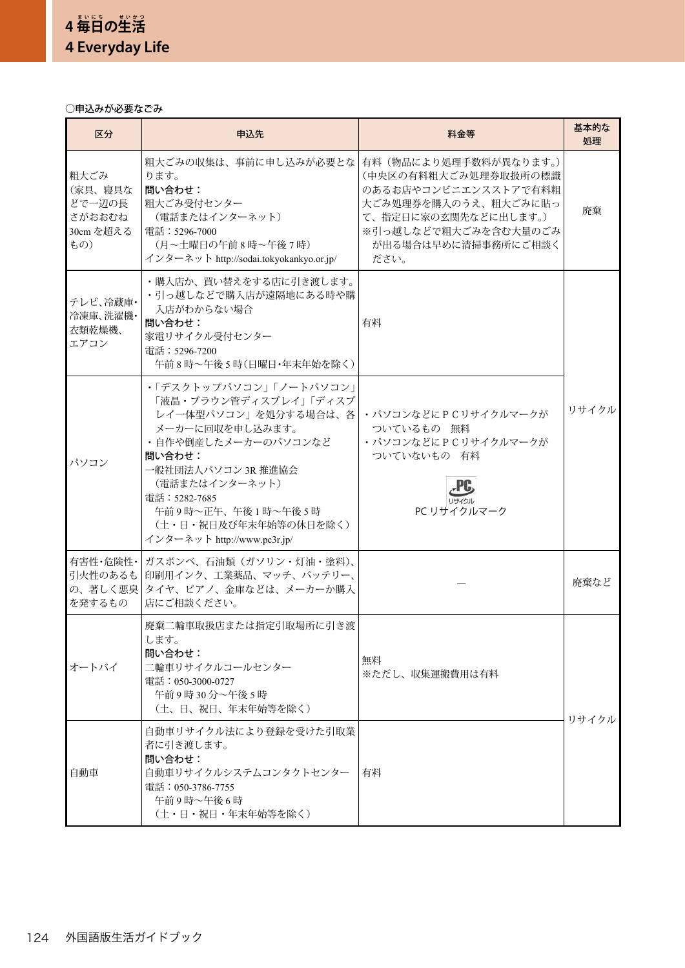# ○申込みが必要なごみ

| 区分                                                      | 申込先                                                                                                                                                                                                                                                               | 料金等                                                                                                                                                                          | 基本的な<br>処理 |
|---------------------------------------------------------|-------------------------------------------------------------------------------------------------------------------------------------------------------------------------------------------------------------------------------------------------------------------|------------------------------------------------------------------------------------------------------------------------------------------------------------------------------|------------|
| 粗大ごみ<br>(家具、寝具な<br>どで一辺の長<br>さがおおむね<br>30cm を超える<br>もの) | 粗大ごみの収集は、事前に申し込みが必要とな<br>ります。<br>問い合わせ:<br>粗大ごみ受付センター<br>(電話またはインターネット)<br>電話:5296-7000<br>(月~土曜日の午前8時~午後7時)<br>インターネット http://sodai.tokyokankyo.or.jp/                                                                                                           | 有料(物品により処理手数料が異なります。)<br>(中央区の有料粗大ごみ処理券取扱所の標識<br>のあるお店やコンビニエンスストアで有料粗<br>大ごみ処理券を購入のうえ、粗大ごみに貼っ<br>て、指定日に家の玄関先などに出します。)<br>※引っ越しなどで粗大ごみを含む大量のごみ<br>が出る場合は早めに清掃事務所にご相談く<br>ださい。 | 廃棄         |
| テレビ、冷蔵庫・<br>冷凍庫、洗濯機·<br>衣類乾燥機、<br>エアコン                  | •購入店か、買い替えをする店に引き渡します。<br>・引っ越しなどで購入店が遠隔地にある時や購<br>入店がわからない場合<br>問い合わせ:<br>家電リサイクル受付センター<br>電話:5296-7200<br>午前8時~午後5時(日曜日·年末年始を除く)                                                                                                                                | 有料                                                                                                                                                                           |            |
| パソコン                                                    | •「デスクトップパソコン」「ノートパソコン」<br>「液晶・ブラウン管ディスプレイ」「ディスプ<br>レイ一体型パソコン」を処分する場合は、各<br>メーカーに回収を申し込みます。<br>・自作や倒産したメーカーのパソコンなど<br>問い合わせ:<br>一般社団法人パソコン 3R 推進協会<br>(電話またはインターネット)<br>電話: 5282-7685<br>午前9時~正午、午後1時~午後5時<br>(土・日・祝日及び年末年始等の休日を除く)<br>インターネット http://www.pc3r.jp/ | · パソコンなどにPCリサイクルマークが<br>ついているもの 無料<br>· パソコンなどにPCリサイクルマークが<br>ついていないもの 有料<br>PC リサイクルマーク                                                                                     | リサイクル      |
| 有害性・危険性・<br>引火性のあるも<br>の、著しく悪臭<br>を発するもの                | ガスボンベ、石油類(ガソリン・灯油・塗料)、<br>印刷用インク、工業薬品、マッチ、バッテリー、<br>タイヤ、ピアノ、金庫などは、メーカーか購入<br>店にご相談ください。                                                                                                                                                                           |                                                                                                                                                                              | 廃棄など       |
| オートバイ                                                   | 廃棄二輪車取扱店または指定引取場所に引き渡<br>します。<br>問い合わせ:<br>二輪車リサイクルコールセンター<br>電話:050-3000-0727<br>午前9時30分~午後5時<br>(土、日、祝日、年末年始等を除く)                                                                                                                                               | 無料<br>※ただし、収集運搬費用は有料                                                                                                                                                         | リサイクル      |
| 自動車                                                     | 自動車リサイクル法により登録を受けた引取業<br>者に引き渡します。<br>問い合わせ:<br>自動車リサイクルシステムコンタクトセンター<br>電話:050-3786-7755<br>午前9時~午後6時<br>(土・日・祝日・年末年始等を除く)                                                                                                                                       | 有料                                                                                                                                                                           |            |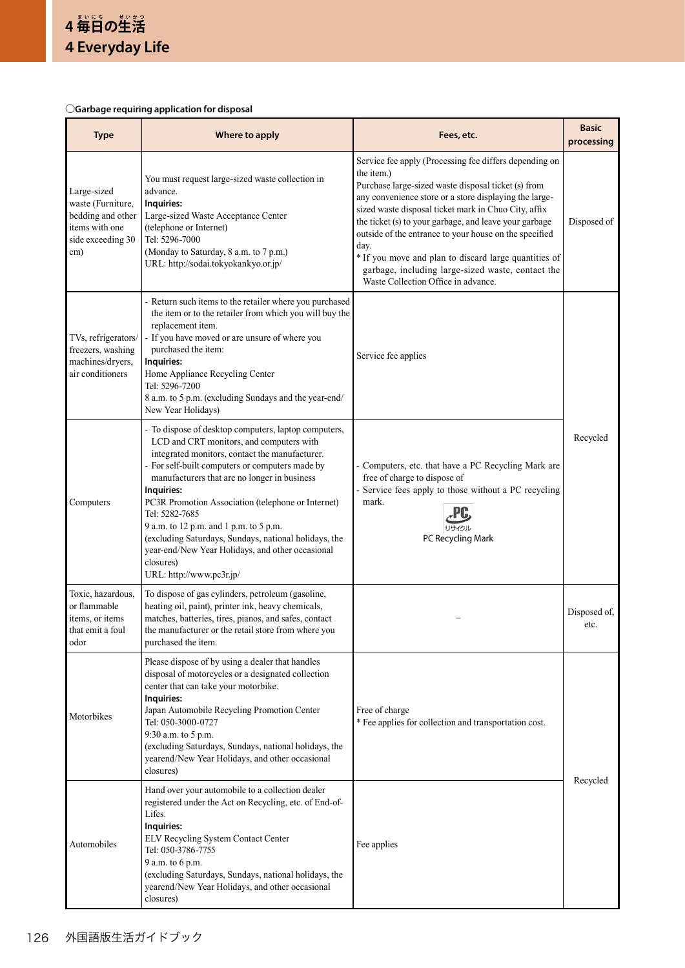# ○**Garbage requiring application for disposal**

| <b>Type</b>                                                                                         | Where to apply                                                                                                                                                                                                                                                                                                                                                                                                                                                                                                                              | Fees, etc.                                                                                                                                                                                                                                                                                                                                                                                                                                                                                                                     | <b>Basic</b><br>processing |
|-----------------------------------------------------------------------------------------------------|---------------------------------------------------------------------------------------------------------------------------------------------------------------------------------------------------------------------------------------------------------------------------------------------------------------------------------------------------------------------------------------------------------------------------------------------------------------------------------------------------------------------------------------------|--------------------------------------------------------------------------------------------------------------------------------------------------------------------------------------------------------------------------------------------------------------------------------------------------------------------------------------------------------------------------------------------------------------------------------------------------------------------------------------------------------------------------------|----------------------------|
| Large-sized<br>waste (Furniture,<br>bedding and other<br>items with one<br>side exceeding 30<br>cm) | You must request large-sized waste collection in<br>advance.<br>Inquiries:<br>Large-sized Waste Acceptance Center<br>(telephone or Internet)<br>Tel: 5296-7000<br>(Monday to Saturday, 8 a.m. to 7 p.m.)<br>URL: http://sodai.tokyokankyo.or.jp/                                                                                                                                                                                                                                                                                            | Service fee apply (Processing fee differs depending on<br>the item.)<br>Purchase large-sized waste disposal ticket (s) from<br>any convenience store or a store displaying the large-<br>sized waste disposal ticket mark in Chuo City, affix<br>the ticket (s) to your garbage, and leave your garbage<br>outside of the entrance to your house on the specified<br>day.<br>* If you move and plan to discard large quantities of<br>garbage, including large-sized waste, contact the<br>Waste Collection Office in advance. | Disposed of                |
| TVs, refrigerators/<br>freezers, washing<br>machines/dryers,<br>air conditioners                    | - Return such items to the retailer where you purchased<br>the item or to the retailer from which you will buy the<br>replacement item.<br>- If you have moved or are unsure of where you<br>purchased the item:<br>Inquiries:<br>Home Appliance Recycling Center<br>Tel: 5296-7200<br>8 a.m. to 5 p.m. (excluding Sundays and the year-end/<br>New Year Holidays)                                                                                                                                                                          | Service fee applies                                                                                                                                                                                                                                                                                                                                                                                                                                                                                                            |                            |
| Computers                                                                                           | - To dispose of desktop computers, laptop computers,<br>LCD and CRT monitors, and computers with<br>integrated monitors, contact the manufacturer.<br>- For self-built computers or computers made by<br>manufacturers that are no longer in business<br>Inquiries:<br>PC3R Promotion Association (telephone or Internet)<br>Tel: 5282-7685<br>9 a.m. to 12 p.m. and 1 p.m. to 5 p.m.<br>(excluding Saturdays, Sundays, national holidays, the<br>year-end/New Year Holidays, and other occasional<br>closures)<br>URL: http://www.pc3r.jp/ | - Computers, etc. that have a PC Recycling Mark are<br>free of charge to dispose of<br>- Service fees apply to those without a PC recycling<br>mark.<br>PC Recycling Mark                                                                                                                                                                                                                                                                                                                                                      | Recycled                   |
| Toxic, hazardous,<br>or flammable<br>items, or items<br>that emit a foul<br>odor                    | To dispose of gas cylinders, petroleum (gasoline,<br>heating oil, paint), printer ink, heavy chemicals,<br>matches, batteries, tires, pianos, and safes, contact<br>the manufacturer or the retail store from where you<br>purchased the item.                                                                                                                                                                                                                                                                                              |                                                                                                                                                                                                                                                                                                                                                                                                                                                                                                                                | Disposed of,<br>etc.       |
| Motorbikes                                                                                          | Please dispose of by using a dealer that handles<br>disposal of motorcycles or a designated collection<br>center that can take your motorbike.<br>Inquiries:<br>Japan Automobile Recycling Promotion Center<br>Tel: 050-3000-0727<br>9:30 a.m. to 5 p.m.<br>(excluding Saturdays, Sundays, national holidays, the<br>yearend/New Year Holidays, and other occasional<br>closures)                                                                                                                                                           | Free of charge<br>* Fee applies for collection and transportation cost.                                                                                                                                                                                                                                                                                                                                                                                                                                                        | Recycled                   |
| Automobiles                                                                                         | Hand over your automobile to a collection dealer<br>registered under the Act on Recycling, etc. of End-of-<br>Lifes.<br>Inquiries:<br>ELV Recycling System Contact Center<br>Tel: 050-3786-7755<br>9 a.m. to 6 p.m.<br>(excluding Saturdays, Sundays, national holidays, the<br>yearend/New Year Holidays, and other occasional<br>closures)                                                                                                                                                                                                | Fee applies                                                                                                                                                                                                                                                                                                                                                                                                                                                                                                                    |                            |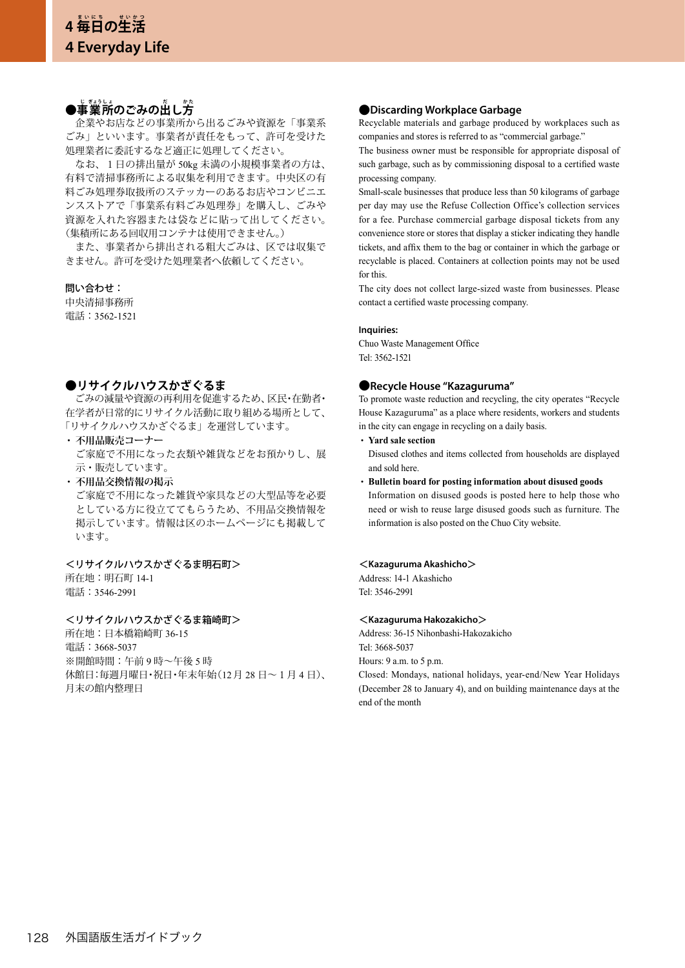# ●事業所のごみの出し方

 企業やお店などの事業所から出るごみや資源を「事業系 ごみ」といいます。事業者が責任をもって、許可を受けた 処理業者に委託するなど適正に処理してください。

 なお、1日の排出量が 50kg 未満の小規模事業者の方は、 有料で清掃事務所による収集を利用できます。中央区の有 料ごみ処理券取扱所のステッカーのあるお店やコンビニエ ンスストアで「事業系有料ごみ処理券」を購入し、ごみや 資源を入れた容器または袋などに貼って出してください。 (集積所にある回収用コンテナは使用できません。)

 また、事業者から排出される粗大ごみは、区では収集で きません。許可を受けた処理業者へ依頼してください。

## 問い合わせ:

中央清掃事務所 電話:3562-1521

# **●リサイクルハウスかざぐるま**

 ごみの減量や資源の再利用を促進するため、区民・在勤者・ 在学者が日常的にリサイクル活動に取り組める場所として、 「リサイクルハウスかざぐるま」を運営しています。

- **・ 不用品販売コーナー** ご家庭で不用になった衣類や雑貨などをお預かりし、展 示・販売しています。
- **・ 不用品交換情報の掲示** ご家庭で不用になった雑貨や家具などの大型品等を必要 としている方に役立ててもらうため、不用品交換情報を 掲示しています。情報は区のホームページにも掲載して います。

## <リサイクルハウスかざぐるま明石町>

所在地:明石町 14-1 電話:3546-2991

## <リサイクルハウスかざぐるま箱崎町>

所在地:日本橋箱崎町 36-15 電話:3668-5037 ※開館時間:午前 9 時~午後 5 時 休館日:毎週月曜日・祝日・年末年始(12月 28 日~1月 4 日)、 月末の館内整理日

# **●Discarding Workplace Garbage**

Recyclable materials and garbage produced by workplaces such as companies and stores is referred to as "commercial garbage."

The business owner must be responsible for appropriate disposal of such garbage, such as by commissioning disposal to a certified waste processing company.

Small-scale businesses that produce less than 50 kilograms of garbage per day may use the Refuse Collection Office's collection services for a fee. Purchase commercial garbage disposal tickets from any convenience store or stores that display a sticker indicating they handle tickets, and affix them to the bag or container in which the garbage or recyclable is placed. Containers at collection points may not be used for this.

The city does not collect large-sized waste from businesses. Please contact a certified waste processing company.

### **Inquiries:**

Chuo Waste Management Office Tel: 3562-1521

# **●Recycle House "Kazaguruma"**

To promote waste reduction and recycling, the city operates "Recycle House Kazaguruma" as a place where residents, workers and students in the city can engage in recycling on a daily basis.

- **・ Yard sale section**  Disused clothes and items collected from households are displayed
- and sold here. **・ Bulletin board for posting information about disused goods**  Information on disused goods is posted here to help those who need or wish to reuse large disused goods such as furniture. The information is also posted on the Chuo City website.

## <**Kazaguruma Akashicho**>

Address: 14-1 Akashicho Tel: 3546-2991

#### <**Kazaguruma Hakozakicho**>

Address: 36-15 Nihonbashi-Hakozakicho Tel: 3668-5037 Hours: 9 a.m. to 5 p.m.

Closed: Mondays, national holidays, year-end/New Year Holidays (December 28 to January 4), and on building maintenance days at the end of the month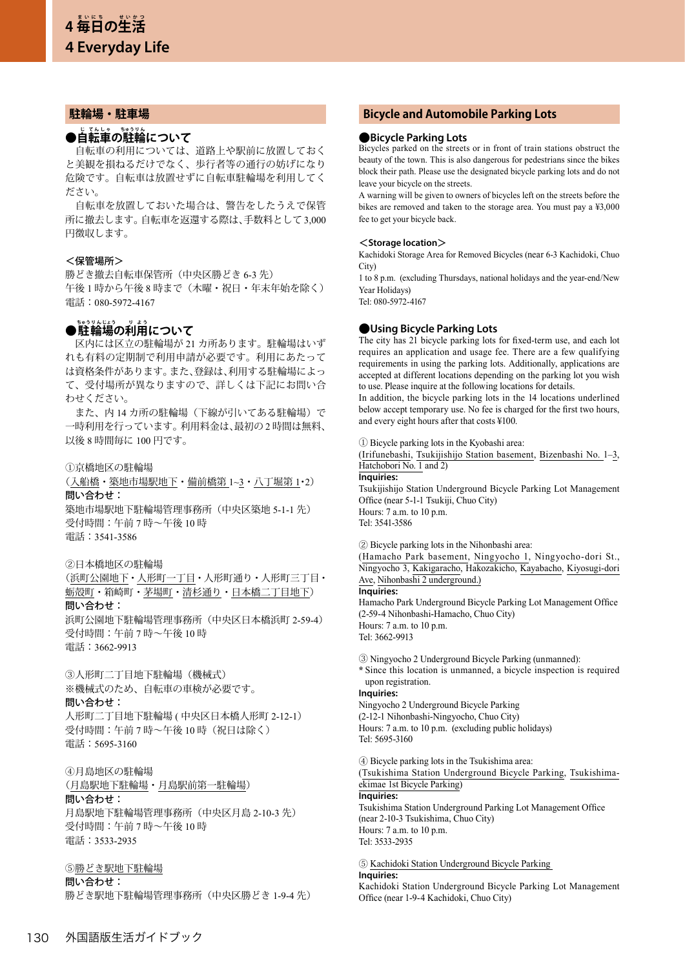# **駐輪場・駐車場**

# ●自転車の駐輪について

 自転車の利用については、道路上や駅前に放置しておく と美観を損ねるだけでなく、歩行者等の通行の妨げになり 危険です。自転車は放置せずに自転車駐輪場を利用してく ださい。

 自転車を放置しておいた場合は、警告をしたうえで保管 所に撤去します。自転車を返還する際は、手数料として 3,000 円徴収します。

## <保管場所>

勝どき撤去自転車保管所(中央区勝どき 6-3 先) 午後 1 時から午後 8 時まで(木曜・祝日・年末年始を除く) 電話:080-5972-4167

# **●駐輪場の利用について**

 区内には区立の駐輪場が 21 カ所あります。駐輪場はいず れも有料の定期制で利用申請が必要です。利用にあたって は資格条件があります。また、登録は、利用する駐輪場によっ て、受付場所が異なりますので、詳しくは下記にお問い合 わせください。

 また、内 14 カ所の駐輪場(下線が引いてある駐輪場)で 一時利用を行っています。利用料金は、最初の 2 時間は無料、 以後 8 時間毎に 100 円です。

#### ①京橋地区の駐輪場

(入船橋・築地市場駅地下・備前橋第 1~3・八丁堀第 1・2) 問い合わせ: 築地市場駅地下駐輪場管理事務所(中央区築地 5-1-1 先)

受付時間:午前 7 時~午後 10 時 電話:3541-3586

#### ②日本橋地区の駐輪場

(浜町公園地下・人形町一丁目・人形町通り・人形町三丁目・ 蛎殻町・箱崎町・茅場町・清杉通り・日本橋二丁目地下)

問い合わせ:

浜町公園地下駐輪場管理事務所(中央区日本橋浜町 2-59-4) 受付時間:午前 7 時~午後 10 時 電話:3662-9913

③人形町二丁目地下駐輪場(機械式) ※機械式のため、自転車の車検が必要です。

## 問い合わせ:

人形町二丁目地下駐輪場 ( 中央区日本橋人形町 2-12-1) 受付時間:午前 7 時~午後 10 時(祝日は除く) 電話:5695-3160

#### ④月島地区の駐輪場

(月島駅地下駐輪場・月島駅前第一駐輪場) 問い合わせ:

月島駅地下駐輪場管理事務所(中央区月島 2-10-3 先) 受付時間:午前 7 時~午後 10 時 電話:3533-2935

## ⑤勝どき駅地下駐輪場

問い合わせ:

勝どき駅地下駐輪場管理事務所(中央区勝どき 1-9-4 先)

# **Bicycle and Automobile Parking Lots**

## **●Bicycle Parking Lots**

Bicycles parked on the streets or in front of train stations obstruct the beauty of the town. This is also dangerous for pedestrians since the bikes block their path. Please use the designated bicycle parking lots and do not leave your bicycle on the streets.

A warning will be given to owners of bicycles left on the streets before the bikes are removed and taken to the storage area. You must pay a ¥3,000 fee to get your bicycle back.

#### <**Storage location**>

Kachidoki Storage Area for Removed Bicycles (near 6-3 Kachidoki, Chuo City)

1 to 8 p.m. (excluding Thursdays, national holidays and the year-end/New Year Holidays)

Tel: 080-5972-4167

## **●Using Bicycle Parking Lots**

The city has 21 bicycle parking lots for fixed-term use, and each lot requires an application and usage fee. There are a few qualifying requirements in using the parking lots. Additionally, applications are accepted at different locations depending on the parking lot you wish to use. Please inquire at the following locations for details.

In addition, the bicycle parking lots in the 14 locations underlined below accept temporary use. No fee is charged for the first two hours, and every eight hours after that costs ¥100.

① Bicycle parking lots in the Kyobashi area:

(Irifunebashi, Tsukijishijo Station basement, Bizenbashi No. 1–3, Hatchobori No. 1 and 2)

#### **Inquiries:**

Tsukijishijo Station Underground Bicycle Parking Lot Management Office (near 5-1-1 Tsukiji, Chuo City) Hours: 7 a.m. to 10 p.m. Tel: 3541-3586

② Bicycle parking lots in the Nihonbashi area:

(Hamacho Park basement, Ningyocho 1, Ningyocho-dori St., Ningyocho 3, Kakigaracho, Hakozakicho, Kayabacho, Kiyosugi-dori Ave, Nihonbashi 2 underground.)

# **Inquiries:**

Hamacho Park Underground Bicycle Parking Lot Management Office (2-59-4 Nihonbashi-Hamacho, Chuo City) Hours: 7 a.m. to 10 p.m. Tel: 3662-9913

③ Ningyocho 2 Underground Bicycle Parking (unmanned):

**\*** Since this location is unmanned, a bicycle inspection is required upon registration.

#### **Inquiries:**

Ningyocho 2 Underground Bicycle Parking (2-12-1 Nihonbashi-Ningyocho, Chuo City) Hours: 7 a.m. to 10 p.m. (excluding public holidays) Tel: 5695-3160

④ Bicycle parking lots in the Tsukishima area:

(Tsukishima Station Underground Bicycle Parking, Tsukishimaekimae 1st Bicycle Parking)

#### **Inquiries:**

Tsukishima Station Underground Parking Lot Management Office (near 2-10-3 Tsukishima, Chuo City) Hours: 7 a.m. to 10 p.m. Tel: 3533-2935

⑤ Kachidoki Station Underground Bicycle Parking **Inquiries:** 

Kachidoki Station Underground Bicycle Parking Lot Management Office (near 1-9-4 Kachidoki, Chuo City)